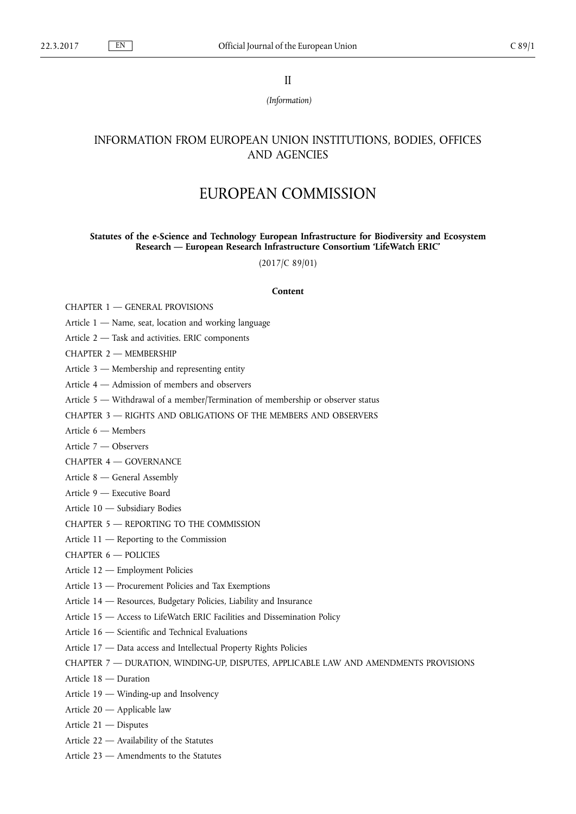II

*(Information)*

# INFORMATION FROM EUROPEAN UNION INSTITUTIONS, BODIES, OFFICES AND AGENCIES

# EUROPEAN COMMISSION

# **Statutes of the e-Science and Technology European Infrastructure for Biodiversity and Ecosystem Research — European Research Infrastructure Consortium 'LifeWatch ERIC'**

(2017/C 89/01)

# **Content**

[CHAPTER 1 — GENERAL PROVISIONS](#page-1-0)

- [Article 1 Name, seat, location and working language](#page-1-0)
- [Article 2 Task and activities. ERIC components](#page-1-0)

[CHAPTER 2 — MEMBERSHIP](#page-2-0)

- [Article 3 Membership and representing entity](#page-2-0)
- [Article 4 Admission of members and observers](#page-2-0)
- [Article 5 Withdrawal of a member/Termination of membership or observer status](#page-3-0)
- [CHAPTER 3 RIGHTS AND OBLIGATIONS OF THE MEMBERS AND OBSERVERS](#page-4-0)
- [Article 6 Members](#page-4-0)
- [Article 7 Observers](#page-4-0)
- [CHAPTER 4 GOVERNANCE](#page-4-0)
- [Article 8 General Assembly](#page-4-0)
- [Article 9 Executive Board](#page-6-0)
- [Article 10 Subsidiary Bodies](#page-6-0)
- [CHAPTER 5 REPORTING TO THE COMMISSION](#page-7-0)
- [Article 11 Reporting to the Commission](#page-7-0)
- [CHAPTER 6 POLICIES](#page-7-0)
- [Article 12 Employment Policies](#page-7-0)
- [Article 13 Procurement Policies and Tax Exemptions](#page-8-0)
- [Article 14 Resources, Budgetary Policies, Liability and Insurance](#page-8-0)
- [Article 15 Access to LifeWatch ERIC Facilities and Dissemination Policy](#page-8-0)
- [Article 16 Scientific and Technical Evaluations](#page-9-0)
- [Article 17 Data access and Intellectual Property Rights Policies](#page-9-0)
- [CHAPTER 7 DURATION, WINDING-UP, DISPUTES, APPLICABLE LAW AND AMENDMENTS PROVISIONS](#page-10-0)
- [Article 18 Duration](#page-10-0)
- [Article 19 Winding-up and Insolvency](#page-10-0)
- [Article 20 Applicable law](#page-10-0)
- [Article 21 Disputes](#page-11-0)
- [Article 22 Availability of the Statutes](#page-11-0)
- [Article 23 Amendments to the Statutes](#page-11-0)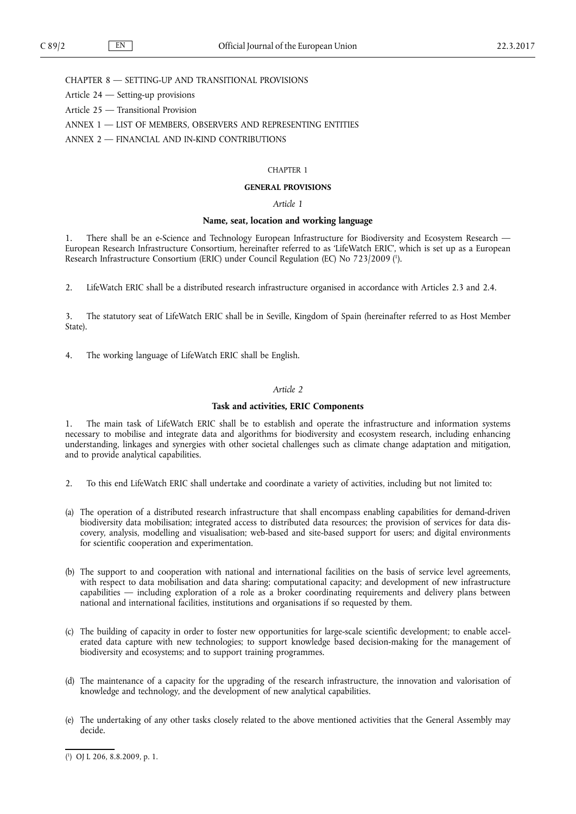<span id="page-1-0"></span>[CHAPTER 8 — SETTING-UP AND TRANSITIONAL PROVISIONS](#page-11-0)

[Article 24 — Setting-up provisions](#page-11-0)

[Article 25 — Transitional Provision](#page-11-0)

[ANNEX 1 — LIST OF MEMBERS, OBSERVERS AND REPRESENTING ENTITIES](#page-12-0)

[ANNEX 2 — FINANCIAL AND IN-KIND CONTRIBUTIONS](#page-13-0)

#### CHAPTER 1

### **GENERAL PROVISIONS**

# *Article 1*

### **Name, seat, location and working language**

1. There shall be an e-Science and Technology European Infrastructure for Biodiversity and Ecosystem Research — European Research Infrastructure Consortium, hereinafter referred to as 'LifeWatch ERIC', which is set up as a European Research Infrastructure Consortium (ERIC) under Council Regulation (EC) No 723/2009 ( 1 ).

2. LifeWatch ERIC shall be a distributed research infrastructure organised in accordance with Articles 2.3 and 2.4.

3. The statutory seat of LifeWatch ERIC shall be in Seville, Kingdom of Spain (hereinafter referred to as Host Member State).

4. The working language of LifeWatch ERIC shall be English.

### *Article 2*

#### **Task and activities, ERIC Components**

1. The main task of LifeWatch ERIC shall be to establish and operate the infrastructure and information systems necessary to mobilise and integrate data and algorithms for biodiversity and ecosystem research, including enhancing understanding, linkages and synergies with other societal challenges such as climate change adaptation and mitigation, and to provide analytical capabilities.

- 2. To this end LifeWatch ERIC shall undertake and coordinate a variety of activities, including but not limited to:
- (a) The operation of a distributed research infrastructure that shall encompass enabling capabilities for demand-driven biodiversity data mobilisation; integrated access to distributed data resources; the provision of services for data discovery, analysis, modelling and visualisation; web-based and site-based support for users; and digital environments for scientific cooperation and experimentation.
- (b) The support to and cooperation with national and international facilities on the basis of service level agreements, with respect to data mobilisation and data sharing; computational capacity; and development of new infrastructure capabilities — including exploration of a role as a broker coordinating requirements and delivery plans between national and international facilities, institutions and organisations if so requested by them.
- (c) The building of capacity in order to foster new opportunities for large-scale scientific development; to enable accelerated data capture with new technologies; to support knowledge based decision-making for the management of biodiversity and ecosystems; and to support training programmes.
- (d) The maintenance of a capacity for the upgrading of the research infrastructure, the innovation and valorisation of knowledge and technology, and the development of new analytical capabilities.
- (e) The undertaking of any other tasks closely related to the above mentioned activities that the General Assembly may decide.

<sup>(</sup> 1 ) OJ L 206, 8.8.2009, p. 1.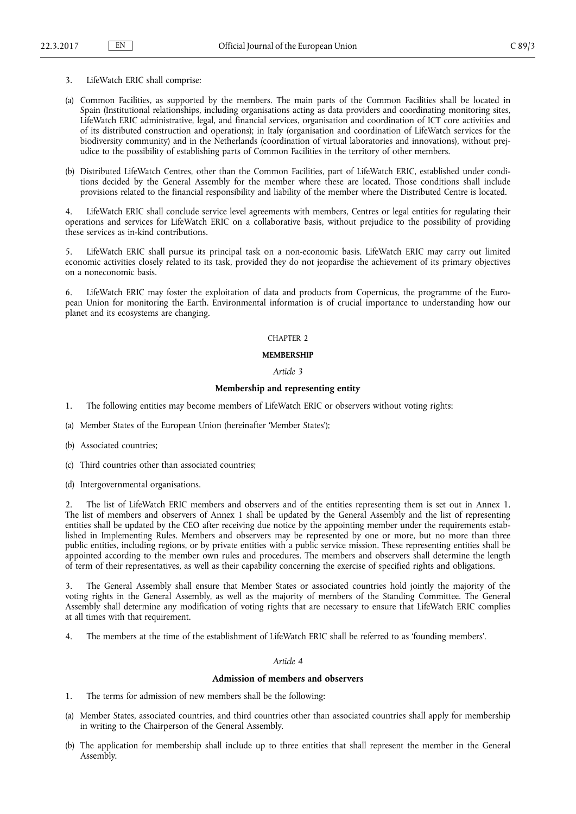- <span id="page-2-0"></span>3. LifeWatch ERIC shall comprise:
- (a) Common Facilities, as supported by the members. The main parts of the Common Facilities shall be located in Spain (Institutional relationships, including organisations acting as data providers and coordinating monitoring sites, LifeWatch ERIC administrative, legal, and financial services, organisation and coordination of ICT core activities and of its distributed construction and operations); in Italy (organisation and coordination of LifeWatch services for the biodiversity community) and in the Netherlands (coordination of virtual laboratories and innovations), without prejudice to the possibility of establishing parts of Common Facilities in the territory of other members.
- (b) Distributed LifeWatch Centres, other than the Common Facilities, part of LifeWatch ERIC, established under conditions decided by the General Assembly for the member where these are located. Those conditions shall include provisions related to the financial responsibility and liability of the member where the Distributed Centre is located.

LifeWatch ERIC shall conclude service level agreements with members, Centres or legal entities for regulating their operations and services for LifeWatch ERIC on a collaborative basis, without prejudice to the possibility of providing these services as in-kind contributions.

LifeWatch ERIC shall pursue its principal task on a non-economic basis. LifeWatch ERIC may carry out limited economic activities closely related to its task, provided they do not jeopardise the achievement of its primary objectives on a noneconomic basis.

6. LifeWatch ERIC may foster the exploitation of data and products from Copernicus, the programme of the European Union for monitoring the Earth. Environmental information is of crucial importance to understanding how our planet and its ecosystems are changing.

# CHAPTER 2

# **MEMBERSHIP**

# *Article 3*

## **Membership and representing entity**

- 1. The following entities may become members of LifeWatch ERIC or observers without voting rights:
- (a) Member States of the European Union (hereinafter 'Member States');
- (b) Associated countries;
- (c) Third countries other than associated countries;
- (d) Intergovernmental organisations.

2. The list of LifeWatch ERIC members and observers and of the entities representing them is set out in Annex 1. The list of members and observers of Annex 1 shall be updated by the General Assembly and the list of representing entities shall be updated by the CEO after receiving due notice by the appointing member under the requirements established in Implementing Rules. Members and observers may be represented by one or more, but no more than three public entities, including regions, or by private entities with a public service mission. These representing entities shall be appointed according to the member own rules and procedures. The members and observers shall determine the length of term of their representatives, as well as their capability concerning the exercise of specified rights and obligations.

3. The General Assembly shall ensure that Member States or associated countries hold jointly the majority of the voting rights in the General Assembly, as well as the majority of members of the Standing Committee. The General Assembly shall determine any modification of voting rights that are necessary to ensure that LifeWatch ERIC complies at all times with that requirement.

4. The members at the time of the establishment of LifeWatch ERIC shall be referred to as 'founding members'.

## *Article 4*

# **Admission of members and observers**

- 1. The terms for admission of new members shall be the following:
- (a) Member States, associated countries, and third countries other than associated countries shall apply for membership in writing to the Chairperson of the General Assembly.
- (b) The application for membership shall include up to three entities that shall represent the member in the General Assembly.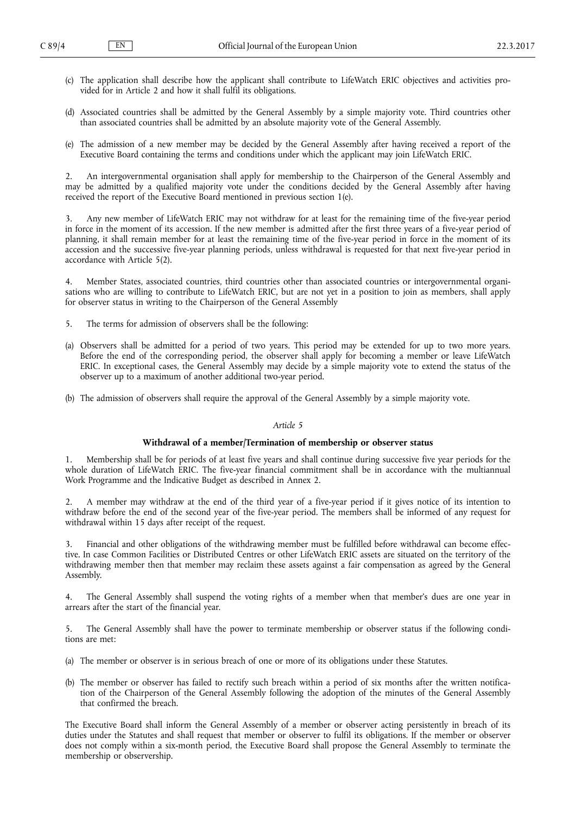- <span id="page-3-0"></span>(c) The application shall describe how the applicant shall contribute to LifeWatch ERIC objectives and activities provided for in Article 2 and how it shall fulfil its obligations.
- (d) Associated countries shall be admitted by the General Assembly by a simple majority vote. Third countries other than associated countries shall be admitted by an absolute majority vote of the General Assembly.
- (e) The admission of a new member may be decided by the General Assembly after having received a report of the Executive Board containing the terms and conditions under which the applicant may join LifeWatch ERIC.

2. An intergovernmental organisation shall apply for membership to the Chairperson of the General Assembly and may be admitted by a qualified majority vote under the conditions decided by the General Assembly after having received the report of the Executive Board mentioned in previous section 1(e).

3. Any new member of LifeWatch ERIC may not withdraw for at least for the remaining time of the five-year period in force in the moment of its accession. If the new member is admitted after the first three years of a five-year period of planning, it shall remain member for at least the remaining time of the five-year period in force in the moment of its accession and the successive five-year planning periods, unless withdrawal is requested for that next five-year period in accordance with Article 5(2).

4. Member States, associated countries, third countries other than associated countries or intergovernmental organisations who are willing to contribute to LifeWatch ERIC, but are not yet in a position to join as members, shall apply for observer status in writing to the Chairperson of the General Assembly

- 5. The terms for admission of observers shall be the following:
- (a) Observers shall be admitted for a period of two years. This period may be extended for up to two more years. Before the end of the corresponding period, the observer shall apply for becoming a member or leave LifeWatch ERIC. In exceptional cases, the General Assembly may decide by a simple majority vote to extend the status of the observer up to a maximum of another additional two-year period.
- (b) The admission of observers shall require the approval of the General Assembly by a simple majority vote.

#### *Article 5*

### **Withdrawal of a member/Termination of membership or observer status**

1. Membership shall be for periods of at least five years and shall continue during successive five year periods for the whole duration of LifeWatch ERIC. The five-year financial commitment shall be in accordance with the multiannual Work Programme and the Indicative Budget as described in Annex 2.

2. A member may withdraw at the end of the third year of a five-year period if it gives notice of its intention to withdraw before the end of the second year of the five-year period. The members shall be informed of any request for withdrawal within 15 days after receipt of the request.

3. Financial and other obligations of the withdrawing member must be fulfilled before withdrawal can become effective. In case Common Facilities or Distributed Centres or other LifeWatch ERIC assets are situated on the territory of the withdrawing member then that member may reclaim these assets against a fair compensation as agreed by the General Assembly.

4. The General Assembly shall suspend the voting rights of a member when that member's dues are one year in arrears after the start of the financial year.

5. The General Assembly shall have the power to terminate membership or observer status if the following conditions are met:

- (a) The member or observer is in serious breach of one or more of its obligations under these Statutes.
- (b) The member or observer has failed to rectify such breach within a period of six months after the written notification of the Chairperson of the General Assembly following the adoption of the minutes of the General Assembly that confirmed the breach.

The Executive Board shall inform the General Assembly of a member or observer acting persistently in breach of its duties under the Statutes and shall request that member or observer to fulfil its obligations. If the member or observer does not comply within a six-month period, the Executive Board shall propose the General Assembly to terminate the membership or observership.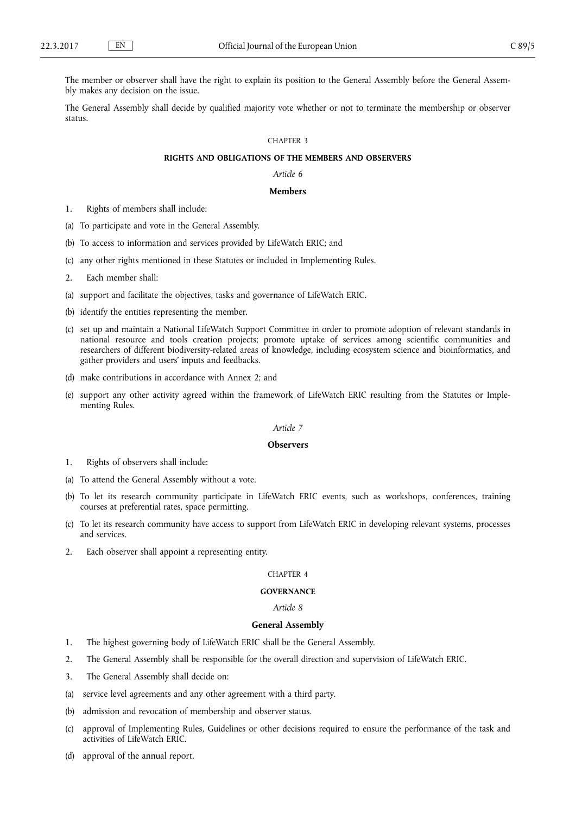<span id="page-4-0"></span>The member or observer shall have the right to explain its position to the General Assembly before the General Assembly makes any decision on the issue.

The General Assembly shall decide by qualified majority vote whether or not to terminate the membership or observer status.

#### CHAPTER 3

# **RIGHTS AND OBLIGATIONS OF THE MEMBERS AND OBSERVERS**

*Article 6*

### **Members**

- 1. Rights of members shall include:
- (a) To participate and vote in the General Assembly.
- (b) To access to information and services provided by LifeWatch ERIC; and
- (c) any other rights mentioned in these Statutes or included in Implementing Rules.
- 2. Each member shall:
- (a) support and facilitate the objectives, tasks and governance of LifeWatch ERIC.
- (b) identify the entities representing the member.
- (c) set up and maintain a National LifeWatch Support Committee in order to promote adoption of relevant standards in national resource and tools creation projects; promote uptake of services among scientific communities and researchers of different biodiversity-related areas of knowledge, including ecosystem science and bioinformatics, and gather providers and users' inputs and feedbacks.
- (d) make contributions in accordance with Annex 2; and
- (e) support any other activity agreed within the framework of LifeWatch ERIC resulting from the Statutes or Implementing Rules.

### *Article 7*

### **Observers**

- 1. Rights of observers shall include:
- (a) To attend the General Assembly without a vote.
- (b) To let its research community participate in LifeWatch ERIC events, such as workshops, conferences, training courses at preferential rates, space permitting.
- (c) To let its research community have access to support from LifeWatch ERIC in developing relevant systems, processes and services.
- 2. Each observer shall appoint a representing entity.

#### CHAPTER 4

#### **GOVERNANCE**

### *Article 8*

#### **General Assembly**

- 1. The highest governing body of LifeWatch ERIC shall be the General Assembly.
- 2. The General Assembly shall be responsible for the overall direction and supervision of LifeWatch ERIC.
- 3. The General Assembly shall decide on:
- (a) service level agreements and any other agreement with a third party.
- (b) admission and revocation of membership and observer status.
- (c) approval of Implementing Rules, Guidelines or other decisions required to ensure the performance of the task and activities of LifeWatch ERIC.
- (d) approval of the annual report.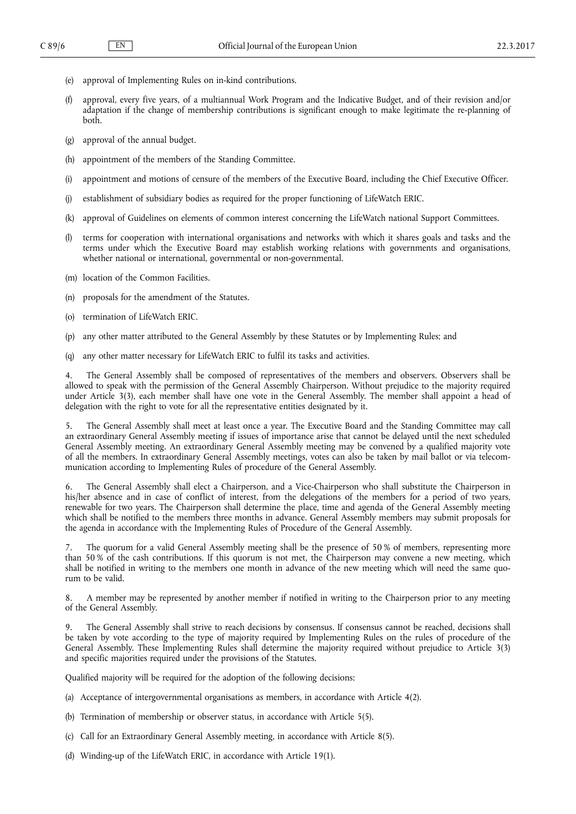- (e) approval of Implementing Rules on in-kind contributions.
- (f) approval, every five years, of a multiannual Work Program and the Indicative Budget, and of their revision and/or adaptation if the change of membership contributions is significant enough to make legitimate the re-planning of both.
- (g) approval of the annual budget.
- (h) appointment of the members of the Standing Committee.
- (i) appointment and motions of censure of the members of the Executive Board, including the Chief Executive Officer.
- (j) establishment of subsidiary bodies as required for the proper functioning of LifeWatch ERIC.
- (k) approval of Guidelines on elements of common interest concerning the LifeWatch national Support Committees.
- (l) terms for cooperation with international organisations and networks with which it shares goals and tasks and the terms under which the Executive Board may establish working relations with governments and organisations, whether national or international, governmental or non-governmental.
- (m) location of the Common Facilities.
- (n) proposals for the amendment of the Statutes.
- (o) termination of LifeWatch ERIC.
- (p) any other matter attributed to the General Assembly by these Statutes or by Implementing Rules; and
- (q) any other matter necessary for LifeWatch ERIC to fulfil its tasks and activities.

4. The General Assembly shall be composed of representatives of the members and observers. Observers shall be allowed to speak with the permission of the General Assembly Chairperson. Without prejudice to the majority required under Article 3(3), each member shall have one vote in the General Assembly. The member shall appoint a head of delegation with the right to vote for all the representative entities designated by it.

5. The General Assembly shall meet at least once a year. The Executive Board and the Standing Committee may call an extraordinary General Assembly meeting if issues of importance arise that cannot be delayed until the next scheduled General Assembly meeting. An extraordinary General Assembly meeting may be convened by a qualified majority vote of all the members. In extraordinary General Assembly meetings, votes can also be taken by mail ballot or via telecommunication according to Implementing Rules of procedure of the General Assembly.

6. The General Assembly shall elect a Chairperson, and a Vice-Chairperson who shall substitute the Chairperson in his/her absence and in case of conflict of interest, from the delegations of the members for a period of two years, renewable for two years. The Chairperson shall determine the place, time and agenda of the General Assembly meeting which shall be notified to the members three months in advance. General Assembly members may submit proposals for the agenda in accordance with the Implementing Rules of Procedure of the General Assembly.

The quorum for a valid General Assembly meeting shall be the presence of 50 % of members, representing more than 50 % of the cash contributions. If this quorum is not met, the Chairperson may convene a new meeting, which shall be notified in writing to the members one month in advance of the new meeting which will need the same quorum to be valid.

8. A member may be represented by another member if notified in writing to the Chairperson prior to any meeting of the General Assembly.

9. The General Assembly shall strive to reach decisions by consensus. If consensus cannot be reached, decisions shall be taken by vote according to the type of majority required by Implementing Rules on the rules of procedure of the General Assembly. These Implementing Rules shall determine the majority required without prejudice to Article 3(3) and specific majorities required under the provisions of the Statutes.

Qualified majority will be required for the adoption of the following decisions:

- (a) Acceptance of intergovernmental organisations as members, in accordance with Article 4(2).
- (b) Termination of membership or observer status, in accordance with Article 5(5).
- (c) Call for an Extraordinary General Assembly meeting, in accordance with Article 8(5).
- (d) Winding-up of the LifeWatch ERIC, in accordance with Article 19(1).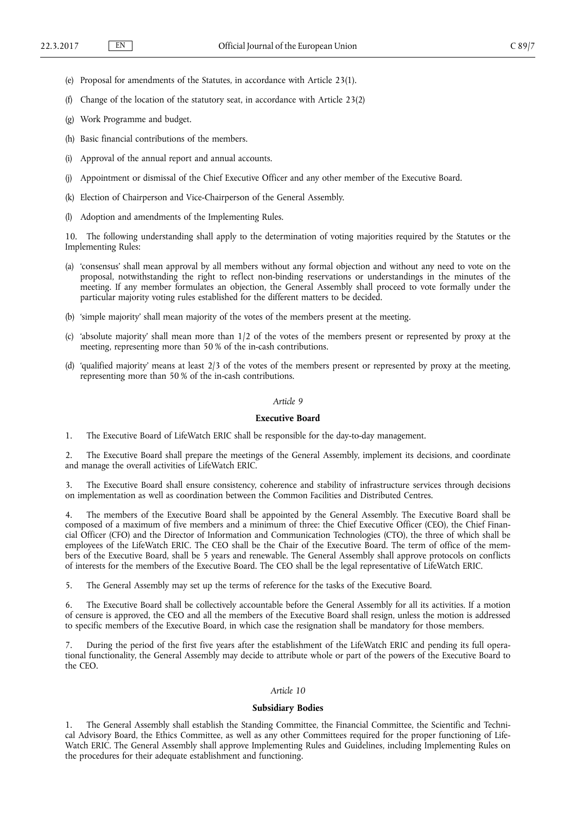- <span id="page-6-0"></span>(e) Proposal for amendments of the Statutes, in accordance with Article 23(1).
- Change of the location of the statutory seat, in accordance with Article 23(2)
- (g) Work Programme and budget.
- (h) Basic financial contributions of the members.
- (i) Approval of the annual report and annual accounts.
- (j) Appointment or dismissal of the Chief Executive Officer and any other member of the Executive Board.
- (k) Election of Chairperson and Vice-Chairperson of the General Assembly.
- Adoption and amendments of the Implementing Rules.

10. The following understanding shall apply to the determination of voting majorities required by the Statutes or the Implementing Rules:

- (a) 'consensus' shall mean approval by all members without any formal objection and without any need to vote on the proposal, notwithstanding the right to reflect non-binding reservations or understandings in the minutes of the meeting. If any member formulates an objection, the General Assembly shall proceed to vote formally under the particular majority voting rules established for the different matters to be decided.
- (b) 'simple majority' shall mean majority of the votes of the members present at the meeting.
- (c) 'absolute majority' shall mean more than 1/2 of the votes of the members present or represented by proxy at the meeting, representing more than 50 % of the in-cash contributions.
- (d) 'qualified majority' means at least  $2/3$  of the votes of the members present or represented by proxy at the meeting, representing more than 50 % of the in-cash contributions.

### *Article 9*

# **Executive Board**

1. The Executive Board of LifeWatch ERIC shall be responsible for the day-to-day management.

2. The Executive Board shall prepare the meetings of the General Assembly, implement its decisions, and coordinate and manage the overall activities of LifeWatch ERIC.

3. The Executive Board shall ensure consistency, coherence and stability of infrastructure services through decisions on implementation as well as coordination between the Common Facilities and Distributed Centres.

The members of the Executive Board shall be appointed by the General Assembly. The Executive Board shall be composed of a maximum of five members and a minimum of three: the Chief Executive Officer (CEO), the Chief Financial Officer (CFO) and the Director of Information and Communication Technologies (CTO), the three of which shall be employees of the LifeWatch ERIC. The CEO shall be the Chair of the Executive Board. The term of office of the members of the Executive Board, shall be 5 years and renewable. The General Assembly shall approve protocols on conflicts of interests for the members of the Executive Board. The CEO shall be the legal representative of LifeWatch ERIC.

5. The General Assembly may set up the terms of reference for the tasks of the Executive Board.

6. The Executive Board shall be collectively accountable before the General Assembly for all its activities. If a motion of censure is approved, the CEO and all the members of the Executive Board shall resign, unless the motion is addressed to specific members of the Executive Board, in which case the resignation shall be mandatory for those members.

7. During the period of the first five years after the establishment of the LifeWatch ERIC and pending its full operational functionality, the General Assembly may decide to attribute whole or part of the powers of the Executive Board to the CEO.

#### *Article 10*

### **Subsidiary Bodies**

1. The General Assembly shall establish the Standing Committee, the Financial Committee, the Scientific and Technical Advisory Board, the Ethics Committee, as well as any other Committees required for the proper functioning of Life-Watch ERIC. The General Assembly shall approve Implementing Rules and Guidelines, including Implementing Rules on the procedures for their adequate establishment and functioning.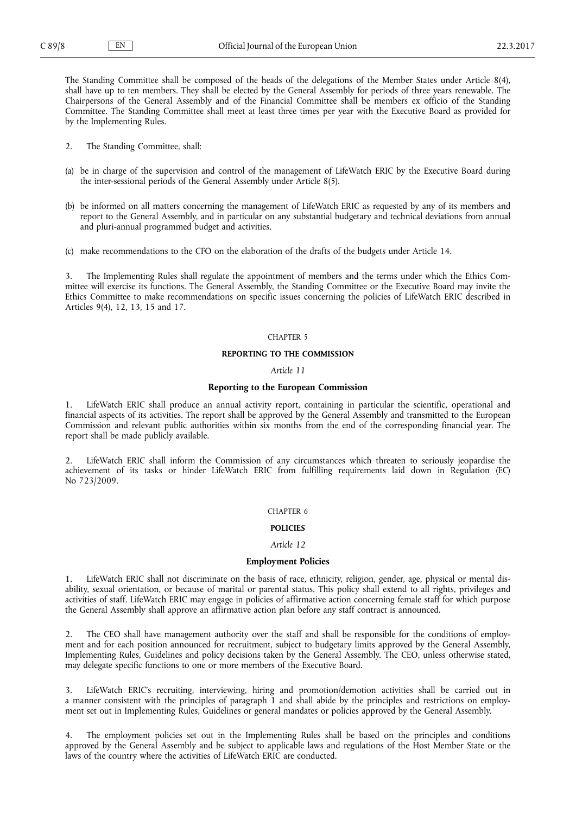<span id="page-7-0"></span>The Standing Committee shall be composed of the heads of the delegations of the Member States under Article 8(4), shall have up to ten members. They shall be elected by the General Assembly for periods of three years renewable. The Chairpersons of the General Assembly and of the Financial Committee shall be members ex officio of the Standing Committee. The Standing Committee shall meet at least three times per year with the Executive Board as provided for by the Implementing Rules.

- 2. The Standing Committee, shall:
- (a) be in charge of the supervision and control of the management of LifeWatch ERIC by the Executive Board during the inter-sessional periods of the General Assembly under Article 8(5).
- (b) be informed on all matters concerning the management of LifeWatch ERIC as requested by any of its members and report to the General Assembly, and in particular on any substantial budgetary and technical deviations from annual and pluri-annual programmed budget and activities.
- (c) make recommendations to the CFO on the elaboration of the drafts of the budgets under Article 14.

3. The Implementing Rules shall regulate the appointment of members and the terms under which the Ethics Committee will exercise its functions. The General Assembly, the Standing Committee or the Executive Board may invite the Ethics Committee to make recommendations on specific issues concerning the policies of LifeWatch ERIC described in Articles 9(4), 12, 13, 15 and 17.

#### CHAPTER 5

# **REPORTING TO THE COMMISSION**

*Article 11*

# **Reporting to the European Commission**

1. LifeWatch ERIC shall produce an annual activity report, containing in particular the scientific, operational and financial aspects of its activities. The report shall be approved by the General Assembly and transmitted to the European Commission and relevant public authorities within six months from the end of the corresponding financial year. The report shall be made publicly available.

2. LifeWatch ERIC shall inform the Commission of any circumstances which threaten to seriously jeopardise the achievement of its tasks or hinder LifeWatch ERIC from fulfilling requirements laid down in Regulation (EC) No 723/2009.

#### CHAPTER 6

# **POLICIES**

#### *Article 12*

# **Employment Policies**

LifeWatch ERIC shall not discriminate on the basis of race, ethnicity, religion, gender, age, physical or mental disability, sexual orientation, or because of marital or parental status. This policy shall extend to all rights, privileges and activities of staff. LifeWatch ERIC may engage in policies of affirmative action concerning female staff for which purpose the General Assembly shall approve an affirmative action plan before any staff contract is announced.

2. The CEO shall have management authority over the staff and shall be responsible for the conditions of employment and for each position announced for recruitment, subject to budgetary limits approved by the General Assembly, Implementing Rules, Guidelines and policy decisions taken by the General Assembly. The CEO, unless otherwise stated, may delegate specific functions to one or more members of the Executive Board.

3. LifeWatch ERIC's recruiting, interviewing, hiring and promotion/demotion activities shall be carried out in a manner consistent with the principles of paragraph 1 and shall abide by the principles and restrictions on employment set out in Implementing Rules, Guidelines or general mandates or policies approved by the General Assembly.

4. The employment policies set out in the Implementing Rules shall be based on the principles and conditions approved by the General Assembly and be subject to applicable laws and regulations of the Host Member State or the laws of the country where the activities of LifeWatch ERIC are conducted.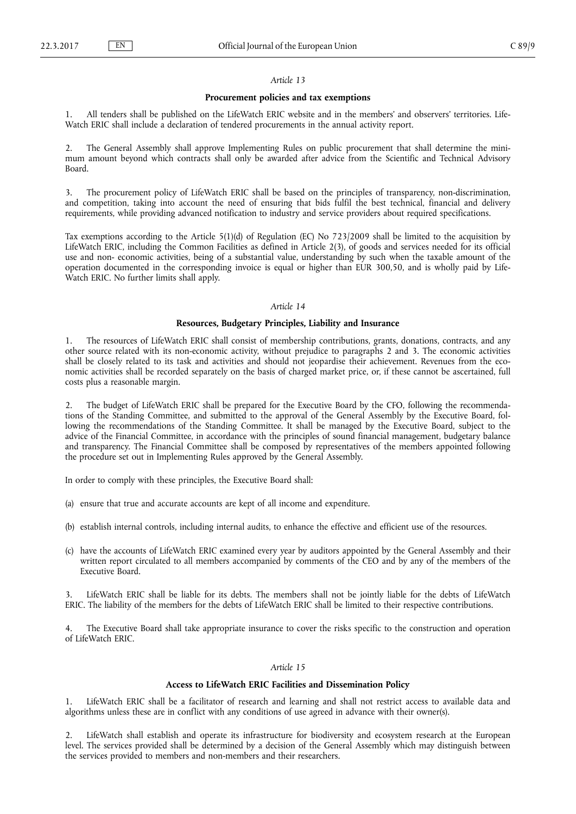# *Article 13*

#### **Procurement policies and tax exemptions**

<span id="page-8-0"></span>1. All tenders shall be published on the LifeWatch ERIC website and in the members' and observers' territories. Life-Watch ERIC shall include a declaration of tendered procurements in the annual activity report.

2. The General Assembly shall approve Implementing Rules on public procurement that shall determine the minimum amount beyond which contracts shall only be awarded after advice from the Scientific and Technical Advisory Board.

3. The procurement policy of LifeWatch ERIC shall be based on the principles of transparency, non-discrimination, and competition, taking into account the need of ensuring that bids fulfil the best technical, financial and delivery requirements, while providing advanced notification to industry and service providers about required specifications.

Tax exemptions according to the Article 5(1)(d) of Regulation (EC) No 723/2009 shall be limited to the acquisition by LifeWatch ERIC, including the Common Facilities as defined in Article 2(3), of goods and services needed for its official use and non- economic activities, being of a substantial value, understanding by such when the taxable amount of the operation documented in the corresponding invoice is equal or higher than EUR 300,50, and is wholly paid by Life-Watch ERIC. No further limits shall apply.

#### *Article 14*

# **Resources, Budgetary Principles, Liability and Insurance**

1. The resources of LifeWatch ERIC shall consist of membership contributions, grants, donations, contracts, and any other source related with its non-economic activity, without prejudice to paragraphs 2 and 3. The economic activities shall be closely related to its task and activities and should not jeopardise their achievement. Revenues from the economic activities shall be recorded separately on the basis of charged market price, or, if these cannot be ascertained, full costs plus a reasonable margin.

2. The budget of LifeWatch ERIC shall be prepared for the Executive Board by the CFO, following the recommendations of the Standing Committee, and submitted to the approval of the General Assembly by the Executive Board, following the recommendations of the Standing Committee. It shall be managed by the Executive Board, subject to the advice of the Financial Committee, in accordance with the principles of sound financial management, budgetary balance and transparency. The Financial Committee shall be composed by representatives of the members appointed following the procedure set out in Implementing Rules approved by the General Assembly.

In order to comply with these principles, the Executive Board shall:

- (a) ensure that true and accurate accounts are kept of all income and expenditure.
- (b) establish internal controls, including internal audits, to enhance the effective and efficient use of the resources.
- (c) have the accounts of LifeWatch ERIC examined every year by auditors appointed by the General Assembly and their written report circulated to all members accompanied by comments of the CEO and by any of the members of the Executive Board.

LifeWatch ERIC shall be liable for its debts. The members shall not be jointly liable for the debts of LifeWatch ERIC. The liability of the members for the debts of LifeWatch ERIC shall be limited to their respective contributions.

The Executive Board shall take appropriate insurance to cover the risks specific to the construction and operation of LifeWatch ERIC.

### *Article 15*

# **Access to LifeWatch ERIC Facilities and Dissemination Policy**

1. LifeWatch ERIC shall be a facilitator of research and learning and shall not restrict access to available data and algorithms unless these are in conflict with any conditions of use agreed in advance with their owner(s).

2. LifeWatch shall establish and operate its infrastructure for biodiversity and ecosystem research at the European level. The services provided shall be determined by a decision of the General Assembly which may distinguish between the services provided to members and non-members and their researchers.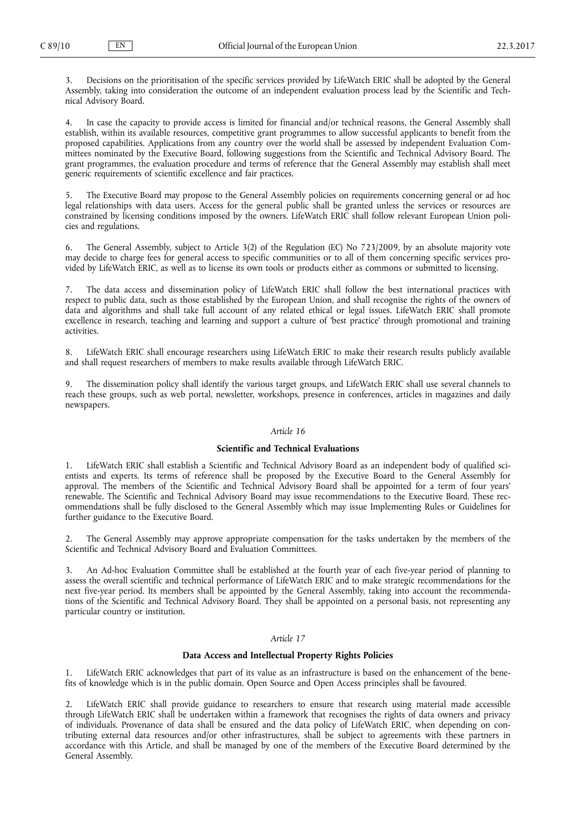<span id="page-9-0"></span>3. Decisions on the prioritisation of the specific services provided by LifeWatch ERIC shall be adopted by the General Assembly, taking into consideration the outcome of an independent evaluation process lead by the Scientific and Technical Advisory Board.

4. In case the capacity to provide access is limited for financial and/or technical reasons, the General Assembly shall establish, within its available resources, competitive grant programmes to allow successful applicants to benefit from the proposed capabilities. Applications from any country over the world shall be assessed by independent Evaluation Committees nominated by the Executive Board, following suggestions from the Scientific and Technical Advisory Board. The grant programmes, the evaluation procedure and terms of reference that the General Assembly may establish shall meet generic requirements of scientific excellence and fair practices.

5. The Executive Board may propose to the General Assembly policies on requirements concerning general or ad hoc legal relationships with data users. Access for the general public shall be granted unless the services or resources are constrained by licensing conditions imposed by the owners. LifeWatch ERIC shall follow relevant European Union policies and regulations.

6. The General Assembly, subject to Article 3(2) of the Regulation (EC) No 723/2009, by an absolute majority vote may decide to charge fees for general access to specific communities or to all of them concerning specific services provided by LifeWatch ERIC, as well as to license its own tools or products either as commons or submitted to licensing.

7. The data access and dissemination policy of LifeWatch ERIC shall follow the best international practices with respect to public data, such as those established by the European Union, and shall recognise the rights of the owners of data and algorithms and shall take full account of any related ethical or legal issues. LifeWatch ERIC shall promote excellence in research, teaching and learning and support a culture of 'best practice' through promotional and training activities.

8. LifeWatch ERIC shall encourage researchers using LifeWatch ERIC to make their research results publicly available and shall request researchers of members to make results available through LifeWatch ERIC.

9. The dissemination policy shall identify the various target groups, and LifeWatch ERIC shall use several channels to reach these groups, such as web portal, newsletter, workshops, presence in conferences, articles in magazines and daily newspapers.

# *Article 16*

# **Scientific and Technical Evaluations**

1. LifeWatch ERIC shall establish a Scientific and Technical Advisory Board as an independent body of qualified scientists and experts. Its terms of reference shall be proposed by the Executive Board to the General Assembly for approval. The members of the Scientific and Technical Advisory Board shall be appointed for a term of four years' renewable. The Scientific and Technical Advisory Board may issue recommendations to the Executive Board. These recommendations shall be fully disclosed to the General Assembly which may issue Implementing Rules or Guidelines for further guidance to the Executive Board.

2. The General Assembly may approve appropriate compensation for the tasks undertaken by the members of the Scientific and Technical Advisory Board and Evaluation Committees.

3. An Ad-hoc Evaluation Committee shall be established at the fourth year of each five-year period of planning to assess the overall scientific and technical performance of LifeWatch ERIC and to make strategic recommendations for the next five-year period. Its members shall be appointed by the General Assembly, taking into account the recommendations of the Scientific and Technical Advisory Board. They shall be appointed on a personal basis, not representing any particular country or institution.

### *Article 17*

# **Data Access and Intellectual Property Rights Policies**

1. LifeWatch ERIC acknowledges that part of its value as an infrastructure is based on the enhancement of the benefits of knowledge which is in the public domain. Open Source and Open Access principles shall be favoured.

LifeWatch ERIC shall provide guidance to researchers to ensure that research using material made accessible through LifeWatch ERIC shall be undertaken within a framework that recognises the rights of data owners and privacy of individuals. Provenance of data shall be ensured and the data policy of LifeWatch ERIC, when depending on contributing external data resources and/or other infrastructures, shall be subject to agreements with these partners in accordance with this Article, and shall be managed by one of the members of the Executive Board determined by the General Assembly.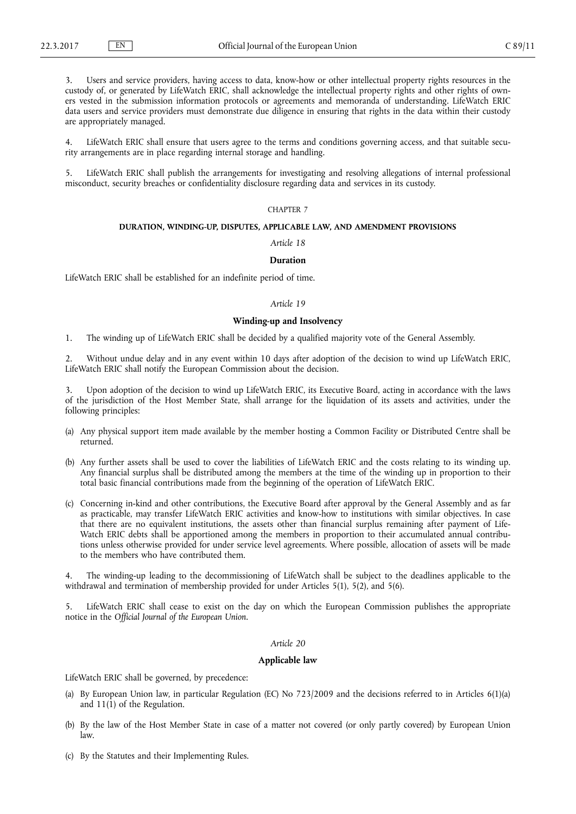<span id="page-10-0"></span>Users and service providers, having access to data, know-how or other intellectual property rights resources in the custody of, or generated by LifeWatch ERIC, shall acknowledge the intellectual property rights and other rights of owners vested in the submission information protocols or agreements and memoranda of understanding. LifeWatch ERIC data users and service providers must demonstrate due diligence in ensuring that rights in the data within their custody are appropriately managed.

4. LifeWatch ERIC shall ensure that users agree to the terms and conditions governing access, and that suitable security arrangements are in place regarding internal storage and handling.

LifeWatch ERIC shall publish the arrangements for investigating and resolving allegations of internal professional misconduct, security breaches or confidentiality disclosure regarding data and services in its custody.

# CHAPTER 7

# **DURATION, WINDING-UP, DISPUTES, APPLICABLE LAW, AND AMENDMENT PROVISIONS**

*Article 18*

# **Duration**

LifeWatch ERIC shall be established for an indefinite period of time.

#### *Article 19*

# **Winding-up and Insolvency**

1. The winding up of LifeWatch ERIC shall be decided by a qualified majority vote of the General Assembly.

2. Without undue delay and in any event within 10 days after adoption of the decision to wind up LifeWatch ERIC, LifeWatch ERIC shall notify the European Commission about the decision.

Upon adoption of the decision to wind up LifeWatch ERIC, its Executive Board, acting in accordance with the laws of the jurisdiction of the Host Member State, shall arrange for the liquidation of its assets and activities, under the following principles:

- (a) Any physical support item made available by the member hosting a Common Facility or Distributed Centre shall be returned.
- (b) Any further assets shall be used to cover the liabilities of LifeWatch ERIC and the costs relating to its winding up. Any financial surplus shall be distributed among the members at the time of the winding up in proportion to their total basic financial contributions made from the beginning of the operation of LifeWatch ERIC.
- (c) Concerning in-kind and other contributions, the Executive Board after approval by the General Assembly and as far as practicable, may transfer LifeWatch ERIC activities and know-how to institutions with similar objectives. In case that there are no equivalent institutions, the assets other than financial surplus remaining after payment of Life-Watch ERIC debts shall be apportioned among the members in proportion to their accumulated annual contributions unless otherwise provided for under service level agreements. Where possible, allocation of assets will be made to the members who have contributed them.

4. The winding-up leading to the decommissioning of LifeWatch shall be subject to the deadlines applicable to the withdrawal and termination of membership provided for under Articles 5(1), 5(2), and 5(6).

LifeWatch ERIC shall cease to exist on the day on which the European Commission publishes the appropriate notice in the *Official Journal of the European Union.*

# *Article 20*

# **Applicable law**

LifeWatch ERIC shall be governed, by precedence:

- (a) By European Union law, in particular Regulation (EC) No 723/2009 and the decisions referred to in Articles 6(1)(a) and 11(1) of the Regulation.
- (b) By the law of the Host Member State in case of a matter not covered (or only partly covered) by European Union law.
- (c) By the Statutes and their Implementing Rules.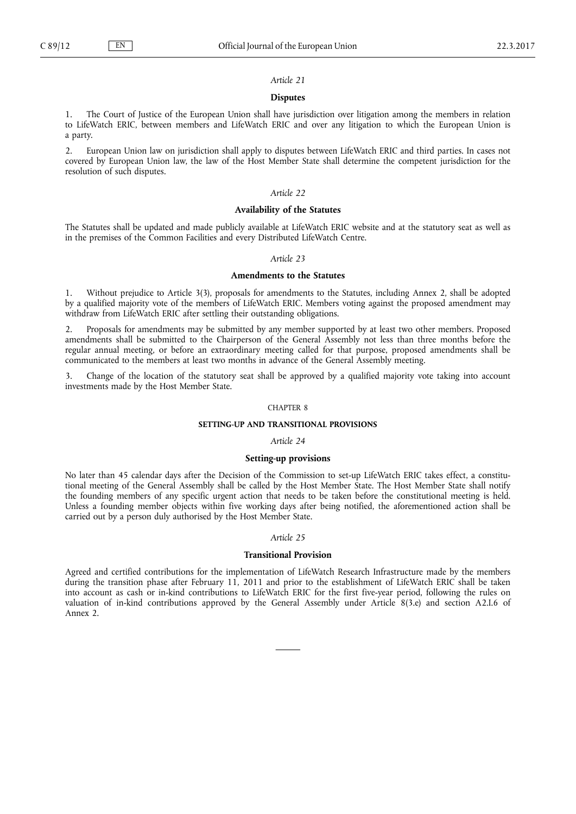<span id="page-11-0"></span>

# *Article 21*

### **Disputes**

1. The Court of Justice of the European Union shall have jurisdiction over litigation among the members in relation to LifeWatch ERIC, between members and LifeWatch ERIC and over any litigation to which the European Union is a party.

2. European Union law on jurisdiction shall apply to disputes between LifeWatch ERIC and third parties. In cases not covered by European Union law, the law of the Host Member State shall determine the competent jurisdiction for the resolution of such disputes.

# *Article 22*

# **Availability of the Statutes**

The Statutes shall be updated and made publicly available at LifeWatch ERIC website and at the statutory seat as well as in the premises of the Common Facilities and every Distributed LifeWatch Centre.

# *Article 23*

#### **Amendments to the Statutes**

1. Without prejudice to Article 3(3), proposals for amendments to the Statutes, including Annex 2, shall be adopted by a qualified majority vote of the members of LifeWatch ERIC. Members voting against the proposed amendment may withdraw from LifeWatch ERIC after settling their outstanding obligations.

2. Proposals for amendments may be submitted by any member supported by at least two other members. Proposed amendments shall be submitted to the Chairperson of the General Assembly not less than three months before the regular annual meeting, or before an extraordinary meeting called for that purpose, proposed amendments shall be communicated to the members at least two months in advance of the General Assembly meeting.

3. Change of the location of the statutory seat shall be approved by a qualified majority vote taking into account investments made by the Host Member State.

# CHAPTER 8

# **SETTING-UP AND TRANSITIONAL PROVISIONS**

#### *Article 24*

### **Setting-up provisions**

No later than 45 calendar days after the Decision of the Commission to set-up LifeWatch ERIC takes effect, a constitutional meeting of the General Assembly shall be called by the Host Member State. The Host Member State shall notify the founding members of any specific urgent action that needs to be taken before the constitutional meeting is held. Unless a founding member objects within five working days after being notified, the aforementioned action shall be carried out by a person duly authorised by the Host Member State.

### *Article 25*

# **Transitional Provision**

Agreed and certified contributions for the implementation of LifeWatch Research Infrastructure made by the members during the transition phase after February 11, 2011 and prior to the establishment of LifeWatch ERIC shall be taken into account as cash or in-kind contributions to LifeWatch ERIC for the first five-year period, following the rules on valuation of in-kind contributions approved by the General Assembly under Article 8(3.e) and section A2.I.6 of Annex 2.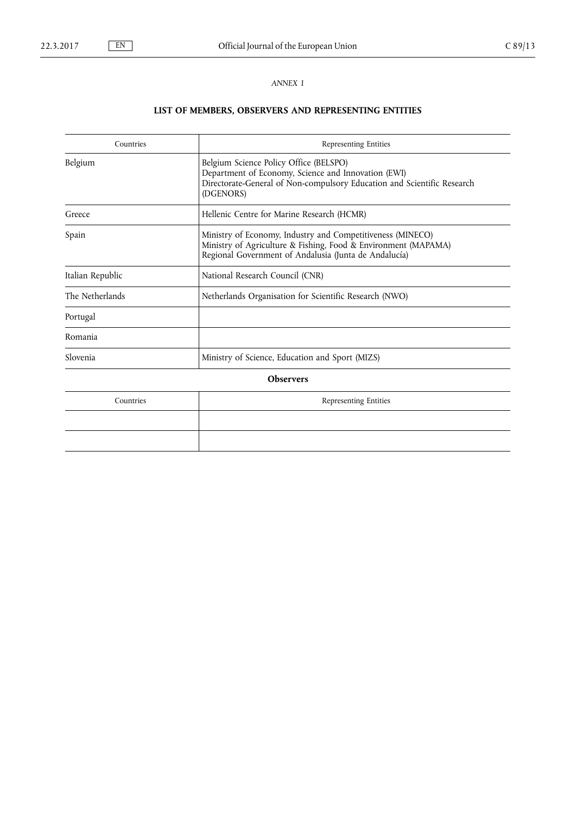<span id="page-12-0"></span>

# *ANNEX 1*

# **LIST OF MEMBERS, OBSERVERS AND REPRESENTING ENTITIES**

| Countries        | Representing Entities                                                                                                                                                                 |  |  |  |
|------------------|---------------------------------------------------------------------------------------------------------------------------------------------------------------------------------------|--|--|--|
| Belgium          | Belgium Science Policy Office (BELSPO)<br>Department of Economy, Science and Innovation (EWI)<br>Directorate-General of Non-compulsory Education and Scientific Research<br>(DGENORS) |  |  |  |
| Greece           | Hellenic Centre for Marine Research (HCMR)                                                                                                                                            |  |  |  |
| Spain            | Ministry of Economy, Industry and Competitiveness (MINECO)<br>Ministry of Agriculture & Fishing, Food & Environment (MAPAMA)<br>Regional Government of Andalusia (Junta de Andalucía) |  |  |  |
| Italian Republic | National Research Council (CNR)                                                                                                                                                       |  |  |  |
| The Netherlands  | Netherlands Organisation for Scientific Research (NWO)                                                                                                                                |  |  |  |
| Portugal         |                                                                                                                                                                                       |  |  |  |
| Romania          |                                                                                                                                                                                       |  |  |  |
| Slovenia         | Ministry of Science, Education and Sport (MIZS)                                                                                                                                       |  |  |  |
| <b>Observers</b> |                                                                                                                                                                                       |  |  |  |
| Countries        | Representing Entities                                                                                                                                                                 |  |  |  |
|                  |                                                                                                                                                                                       |  |  |  |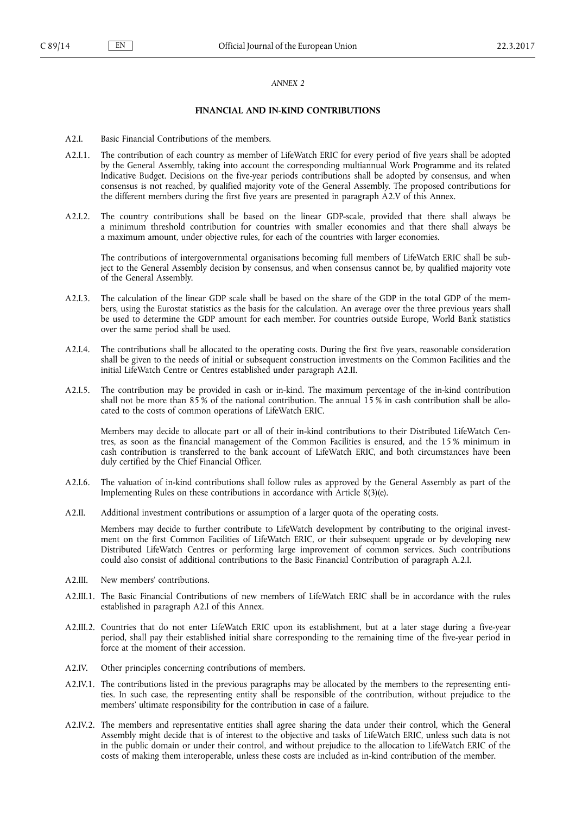### *ANNEX 2*

# **FINANCIAL AND IN-KIND CONTRIBUTIONS**

- <span id="page-13-0"></span>A2.I. Basic Financial Contributions of the members.
- A2.I.1. The contribution of each country as member of LifeWatch ERIC for every period of five years shall be adopted by the General Assembly, taking into account the corresponding multiannual Work Programme and its related Indicative Budget. Decisions on the five-year periods contributions shall be adopted by consensus, and when consensus is not reached, by qualified majority vote of the General Assembly. The proposed contributions for the different members during the first five years are presented in paragraph A2.V of this Annex.
- A2.I.2. The country contributions shall be based on the linear GDP-scale, provided that there shall always be a minimum threshold contribution for countries with smaller economies and that there shall always be a maximum amount, under objective rules, for each of the countries with larger economies.

The contributions of intergovernmental organisations becoming full members of LifeWatch ERIC shall be subject to the General Assembly decision by consensus, and when consensus cannot be, by qualified majority vote of the General Assembly.

- A2.I.3. The calculation of the linear GDP scale shall be based on the share of the GDP in the total GDP of the members, using the Eurostat statistics as the basis for the calculation. An average over the three previous years shall be used to determine the GDP amount for each member. For countries outside Europe, World Bank statistics over the same period shall be used.
- A2.I.4. The contributions shall be allocated to the operating costs. During the first five years, reasonable consideration shall be given to the needs of initial or subsequent construction investments on the Common Facilities and the initial LifeWatch Centre or Centres established under paragraph A2.II.
- A2.I.5. The contribution may be provided in cash or in-kind. The maximum percentage of the in-kind contribution shall not be more than 85 % of the national contribution. The annual 15 % in cash contribution shall be allocated to the costs of common operations of LifeWatch ERIC.

Members may decide to allocate part or all of their in-kind contributions to their Distributed LifeWatch Centres, as soon as the financial management of the Common Facilities is ensured, and the 15 % minimum in cash contribution is transferred to the bank account of LifeWatch ERIC, and both circumstances have been duly certified by the Chief Financial Officer.

- A2.I.6. The valuation of in-kind contributions shall follow rules as approved by the General Assembly as part of the Implementing Rules on these contributions in accordance with Article 8(3)(e).
- A2.II. Additional investment contributions or assumption of a larger quota of the operating costs.

Members may decide to further contribute to LifeWatch development by contributing to the original investment on the first Common Facilities of LifeWatch ERIC, or their subsequent upgrade or by developing new Distributed LifeWatch Centres or performing large improvement of common services. Such contributions could also consist of additional contributions to the Basic Financial Contribution of paragraph A.2.I.

- A2.III. New members' contributions.
- A2.III.1. The Basic Financial Contributions of new members of LifeWatch ERIC shall be in accordance with the rules established in paragraph A2.I of this Annex.
- A2.III.2. Countries that do not enter LifeWatch ERIC upon its establishment, but at a later stage during a five-year period, shall pay their established initial share corresponding to the remaining time of the five-year period in force at the moment of their accession.
- A2.IV. Other principles concerning contributions of members.
- A2.IV.1. The contributions listed in the previous paragraphs may be allocated by the members to the representing entities. In such case, the representing entity shall be responsible of the contribution, without prejudice to the members' ultimate responsibility for the contribution in case of a failure.
- A2.IV.2. The members and representative entities shall agree sharing the data under their control, which the General Assembly might decide that is of interest to the objective and tasks of LifeWatch ERIC, unless such data is not in the public domain or under their control, and without prejudice to the allocation to LifeWatch ERIC of the costs of making them interoperable, unless these costs are included as in-kind contribution of the member.